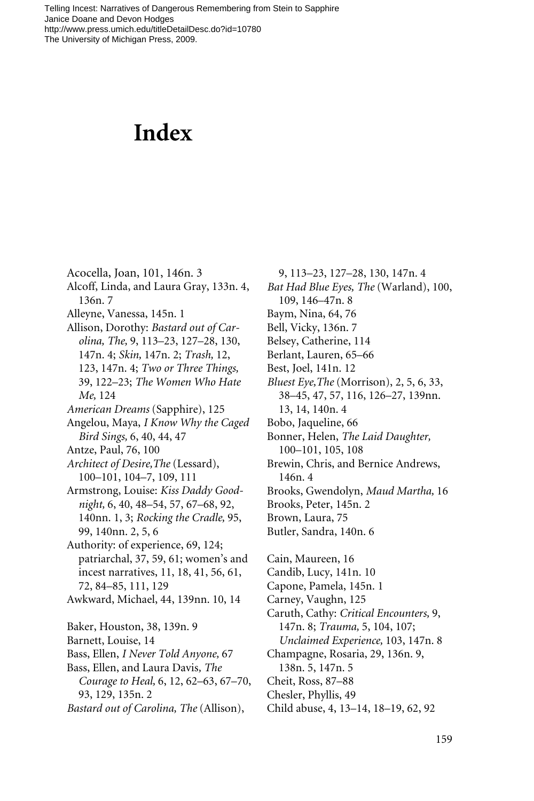## **Index**

Acocella, Joan, 101, 146n. 3 Alcoff, Linda, and Laura Gray, 133n. 4, 136n. 7 Alleyne, Vanessa, 145n. 1 Allison, Dorothy: *Bastard out of Carolina, The,* 9, 113–23, 127–28, 130, 147n. 4; *Skin,* 147n. 2; *Trash,* 12, 123, 147n. 4; *Two or Three Things,* 39, 122–23; *The Women Who Hate Me,* 124 *American Dreams* (Sapphire), 125 Angelou, Maya, *I Know Why the Caged Bird Sings,* 6, 40, 44, 47 Antze, Paul, 76, 100 *Architect of Desire,The* (Lessard), 100–101, 104–7, 109, 111 Armstrong, Louise: *Kiss Daddy Goodnight,* 6, 40, 48–54, 57, 67–68, 92, 140nn. 1, 3; *Rocking the Cradle,* 95, 99, 140nn. 2, 5, 6 Authority: of experience, 69, 124; patriarchal, 37, 59, 61; women's and incest narratives, 11, 18, 41, 56, 61, 72, 84–85, 111, 129 Awkward, Michael, 44, 139nn. 10, 14 Baker, Houston, 38, 139n. 9 Barnett, Louise, 14 Bass, Ellen, *I Never Told Anyone,* 67 Bass, Ellen, and Laura Davis*, The Courage to Heal,* 6, 12, 62–63, 67–70, 93, 129, 135n. 2 *Bastard out of Carolina, The* (Allison),

*Bat Had Blue Eyes, The* (Warland), 100, 109, 146–47n. 8 Baym, Nina, 64, 76 Bell, Vicky, 136n. 7 Belsey, Catherine, 114 Berlant, Lauren, 65–66 Best, Joel, 141n. 12 *Bluest Eye,The* (Morrison), 2, 5, 6, 33, 38–45, 47, 57, 116, 126–27, 139nn. 13, 14, 140n. 4 Bobo, Jaqueline, 66 Bonner, Helen, *The Laid Daughter,* 100–101, 105, 108 Brewin, Chris, and Bernice Andrews, 146n. 4 Brooks, Gwendolyn, *Maud Martha,* 16 Brooks, Peter, 145n. 2 Brown, Laura, 75 Butler, Sandra, 140n. 6 Cain, Maureen, 16 Candib, Lucy, 141n. 10 Capone, Pamela, 145n. 1 Carney, Vaughn, 125 Caruth, Cathy: *Critical Encounters,* 9, 147n. 8; *Trauma,* 5, 104, 107; *Unclaimed Experience,* 103, 147n. 8 Champagne, Rosaria, 29, 136n. 9, 138n. 5, 147n. 5 Cheit, Ross, 87–88 Chesler, Phyllis, 49 Child abuse, 4, 13–14, 18–19, 62, 92

9, 113–23, 127–28, 130, 147n. 4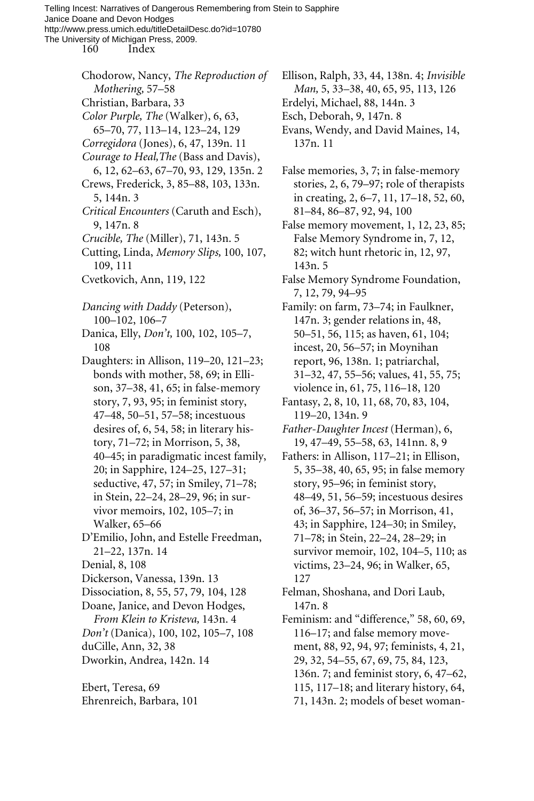> Chodorow, Nancy, *The Reproduction of Mothering,* 57–58 Christian, Barbara, 33 *Color Purple, The* (Walker), 6, 63, 65–70, 77, 113–14, 123–24, 129 *Corregidora* (Jones), 6, 47, 139n. 11 *Courage to Heal,The* (Bass and Davis), 6, 12, 62–63, 67–70, 93, 129, 135n. 2 Crews, Frederick, 3, 85–88, 103, 133n. 5, 144n. 3 *Critical Encounters* (Caruth and Esch), 9, 147n. 8 *Crucible, The* (Miller), 71, 143n. 5

- Cutting, Linda, *Memory Slips,* 100, 107, 109, 111
- Cvetkovich, Ann, 119, 122

*Dancing with Daddy* (Peterson), 100–102, 106–7

Danica, Elly, *Don't,* 100, 102, 105–7, 108

- Daughters: in Allison, 119–20, 121–23; bonds with mother, 58, 69; in Ellison, 37–38, 41, 65; in false-memory story, 7, 93, 95; in feminist story, 47–48, 50–51, 57–58; incestuous desires of, 6, 54, 58; in literary history, 71–72; in Morrison, 5, 38, 40–45; in paradigmatic incest family, 20; in Sapphire, 124–25, 127–31; seductive, 47, 57; in Smiley, 71–78; in Stein, 22–24, 28–29, 96; in survivor memoirs, 102, 105–7; in Walker, 65–66
- D'Emilio, John, and Estelle Freedman, 21–22, 137n. 14
- Denial, 8, 108
- Dickerson, Vanessa, 139n. 13
- Dissociation, 8, 55, 57, 79, 104, 128
- Doane, Janice, and Devon Hodges,
- *From Klein to Kristeva,* 143n. 4
- *Don't* (Danica), 100, 102, 105–7, 108
- duCille, Ann, 32, 38
- Dworkin, Andrea, 142n. 14

Ebert, Teresa, 69 Ehrenreich, Barbara, 101 Ellison, Ralph, 33, 44, 138n. 4; *Invisible Man,* 5, 33–38, 40, 65, 95, 113, 126 Erdelyi, Michael, 88, 144n. 3

- Esch, Deborah, 9, 147n. 8
- Evans, Wendy, and David Maines, 14, 137n. 11

False memories, 3, 7; in false-memory stories, 2, 6, 79–97; role of therapists in creating, 2, 6–7, 11, 17–18, 52, 60, 81–84, 86–87, 92, 94, 100

False memory movement, 1, 12, 23, 85; False Memory Syndrome in, 7, 12, 82; witch hunt rhetoric in, 12, 97, 143n. 5

False Memory Syndrome Foundation, 7, 12, 79, 94–95

Family: on farm, 73–74; in Faulkner, 147n. 3; gender relations in, 48, 50–51, 56, 115; as haven, 61, 104; incest, 20, 56–57; in Moynihan report, 96, 138n. 1; patriarchal, 31–32, 47, 55–56; values, 41, 55, 75; violence in, 61, 75, 116–18, 120

- Fantasy, 2, 8, 10, 11, 68, 70, 83, 104, 119–20, 134n. 9
- *Father-Daughter Incest* (Herman), 6, 19, 47–49, 55–58, 63, 141nn. 8, 9
- Fathers: in Allison, 117–21; in Ellison, 5, 35–38, 40, 65, 95; in false memory story, 95–96; in feminist story, 48–49, 51, 56–59; incestuous desires of, 36–37, 56–57; in Morrison, 41, 43; in Sapphire, 124–30; in Smiley, 71–78; in Stein, 22–24, 28–29; in survivor memoir, 102, 104–5, 110; as victims, 23–24, 96; in Walker, 65, 127
- Felman, Shoshana, and Dori Laub, 147n. 8

Feminism: and "difference," 58, 60, 69, 116–17; and false memory movement, 88, 92, 94, 97; feminists, 4, 21, 29, 32, 54–55, 67, 69, 75, 84, 123, 136n. 7; and feminist story, 6, 47–62, 115, 117–18; and literary history, 64, 71, 143n. 2; models of beset woman-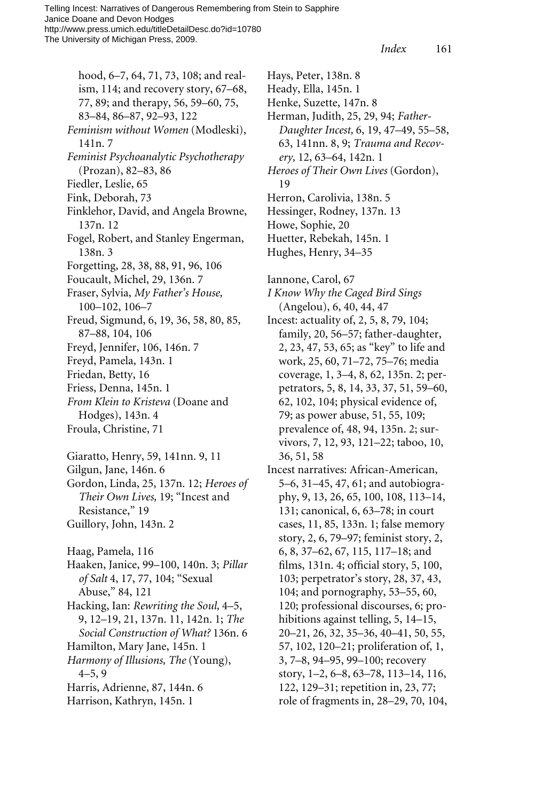*Index* 161

hood, 6–7, 64, 71, 73, 108; and realism, 114; and recovery story, 67–68, 77, 89; and therapy, 56, 59–60, 75, 83–84, 86–87, 92–93, 122 *Feminism without Women* (Modleski), 141n. 7 *Feminist Psychoanalytic Psychotherapy* (Prozan), 82–83, 86 Fiedler, Leslie, 65 Fink, Deborah, 73 Finklehor, David, and Angela Browne, 137n. 12 Fogel, Robert, and Stanley Engerman, 138n. 3 Forgetting, 28, 38, 88, 91, 96, 106 Foucault, Michel, 29, 136n. 7 Fraser, Sylvia, *My Father's House,* 100–102, 106–7 Freud, Sigmund, 6, 19, 36, 58, 80, 85, 87–88, 104, 106 Freyd, Jennifer, 106, 146n. 7 Freyd, Pamela, 143n. 1 Friedan, Betty, 16 Friess, Denna, 145n. 1 *From Klein to Kristeva* (Doane and Hodges), 143n. 4 Froula, Christine, 71 Giaratto, Henry, 59, 141nn. 9, 11 Gilgun, Jane, 146n. 6 Gordon, Linda, 25, 137n. 12; *Heroes of Their Own Lives,* 19; "Incest and Resistance," 19 Guillory, John, 143n. 2 Haag, Pamela, 116 Haaken, Janice, 99–100, 140n. 3; *Pillar of Salt* 4, 17, 77, 104; "Sexual Abuse," 84, 121 Hacking, Ian: *Rewriting the Soul,* 4–5, 9, 12–19, 21, 137n. 11, 142n. 1; *The Social Construction of What?* 136n. 6 Hamilton, Mary Jane, 145n. 1 *Harmony of Illusions, The* (Young), 4–5, 9 Harris, Adrienne, 87, 144n. 6 Harrison, Kathryn, 145n. 1

Hays, Peter, 138n. 8 Heady, Ella, 145n. 1 Henke, Suzette, 147n. 8 Herman, Judith, 25, 29, 94; *Father-Daughter Incest,* 6, 19, 47–49, 55–58, 63, 141nn. 8, 9; *Trauma and Recovery,* 12, 63–64, 142n. 1 *Heroes of Their Own Lives* (Gordon), 19 Herron, Carolivia, 138n. 5 Hessinger, Rodney, 137n. 13 Howe, Sophie, 20 Huetter, Rebekah, 145n. 1 Hughes, Henry, 34–35 Iannone, Carol, 67 *I Know Why the Caged Bird Sings* (Angelou), 6, 40, 44, 47 Incest: actuality of, 2, 5, 8, 79, 104; family, 20, 56–57; father-daughter, 2, 23, 47, 53, 65; as "key" to life and work, 25, 60, 71–72, 75–76; media coverage, 1, 3–4, 8, 62, 135n. 2; perpetrators, 5, 8, 14, 33, 37, 51, 59–60, 62, 102, 104; physical evidence of, 79; as power abuse, 51, 55, 109;

prevalence of, 48, 94, 135n. 2; survivors, 7, 12, 93, 121–22; taboo, 10, 36, 51, 58

Incest narratives: African-American, 5–6, 31–45, 47, 61; and autobiography, 9, 13, 26, 65, 100, 108, 113–14, 131; canonical, 6, 63–78; in court cases, 11, 85, 133n. 1; false memory story, 2, 6, 79–97; feminist story, 2, 6, 8, 37–62, 67, 115, 117–18; and films, 131n. 4; official story, 5, 100, 103; perpetrator's story, 28, 37, 43, 104; and pornography, 53–55, 60, 120; professional discourses, 6; prohibitions against telling, 5, 14–15, 20–21, 26, 32, 35–36, 40–41, 50, 55, 57, 102, 120–21; proliferation of, 1, 3, 7–8, 94–95, 99–100; recovery story, 1–2, 6–8, 63–78, 113–14, 116, 122, 129–31; repetition in, 23, 77; role of fragments in, 28–29, 70, 104,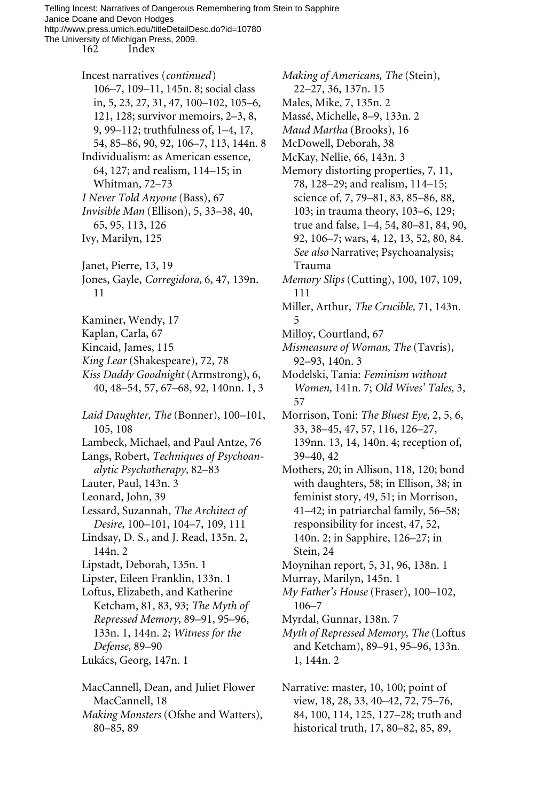162 Index

- Incest narratives (*continued*) 106–7, 109–11, 145n. 8; social class in, 5, 23, 27, 31, 47, 100–102, 105–6, 121, 128; survivor memoirs, 2–3, 8, 9, 99–112; truthfulness of, 1–4, 17, 54, 85–86, 90, 92, 106–7, 113, 144n. 8 Individualism: as American essence, 64, 127; and realism, 114–15; in Whitman, 72–73 *I Never Told Anyone* (Bass), 67 *Invisible Man* (Ellison), 5, 33–38, 40,
- 65, 95, 113, 126
- Ivy, Marilyn, 125
- Janet, Pierre, 13, 19
- Jones, Gayle, *Corregidora,* 6, 47, 139n. 11
- Kaminer, Wendy, 17
- Kaplan, Carla, 67
- Kincaid, James, 115
- *King Lear* (Shakespeare), 72, 78
- *Kiss Daddy Goodnight* (Armstrong), 6, 40, 48–54, 57, 67–68, 92, 140nn. 1, 3
- *Laid Daughter, The* (Bonner), 100–101, 105, 108
- Lambeck, Michael, and Paul Antze, 76
- Langs, Robert, *Techniques of Psychoanalytic Psychotherapy,* 82–83
- Lauter, Paul, 143n. 3
- Leonard, John, 39
- Lessard, Suzannah, *The Architect of Desire,* 100–101, 104–7, 109, 111
- Lindsay, D. S., and J. Read, 135n. 2, 144n. 2
- Lipstadt, Deborah, 135n. 1
- Lipster, Eileen Franklin, 133n. 1
- Loftus, Elizabeth, and Katherine Ketcham, 81, 83, 93; *The Myth of Repressed Memory,* 89–91, 95–96, 133n. 1, 144n. 2; *Witness for the Defense,* 89–90
- Lukács, Georg, 147n. 1
- MacCannell, Dean, and Juliet Flower MacCannell, 18
- *Making Monsters* (Ofshe and Watters), 80–85, 89

*Making of Americans, The* (Stein), 22–27, 36, 137n. 15 Males, Mike, 7, 135n. 2 Massé, Michelle, 8–9, 133n. 2 *Maud Martha* (Brooks), 16 McDowell, Deborah, 38 McKay, Nellie, 66, 143n. 3 Memory distorting properties, 7, 11, 78, 128–29; and realism, 114–15; science of, 7, 79–81, 83, 85–86, 88, 103; in trauma theory, 103–6, 129; true and false, 1–4, 54, 80–81, 84, 90, 92, 106–7; wars, 4, 12, 13, 52, 80, 84. *See also* Narrative; Psychoanalysis; Trauma *Memory Slips* (Cutting), 100, 107, 109, 111 Miller, Arthur, *The Crucible,* 71, 143n. 5 Milloy, Courtland, 67 *Mismeasure of Woman, The* (Tavris), 92–93, 140n. 3 Modelski, Tania: *Feminism without Women,* 141n. 7; *Old Wives' Tales,* 3, 57 Morrison, Toni: *The Bluest Eye,* 2, 5, 6, 33, 38–45, 47, 57, 116, 126–27, 139nn. 13, 14, 140n. 4; reception of, 39–40, 42 Mothers, 20; in Allison, 118, 120; bond with daughters, 58; in Ellison, 38; in feminist story, 49, 51; in Morrison, 41–42; in patriarchal family, 56–58; responsibility for incest, 47, 52, 140n. 2; in Sapphire, 126–27; in Stein, 24 Moynihan report, 5, 31, 96, 138n. 1

- Murray, Marilyn, 145n. 1
- *My Father's House* (Fraser), 100–102, 106–7
- Myrdal, Gunnar, 138n. 7
- *Myth of Repressed Memory, The* (Loftus and Ketcham), 89–91, 95–96, 133n. 1, 144n. 2
- Narrative: master, 10, 100; point of view, 18, 28, 33, 40–42, 72, 75–76, 84, 100, 114, 125, 127–28; truth and historical truth, 17, 80–82, 85, 89,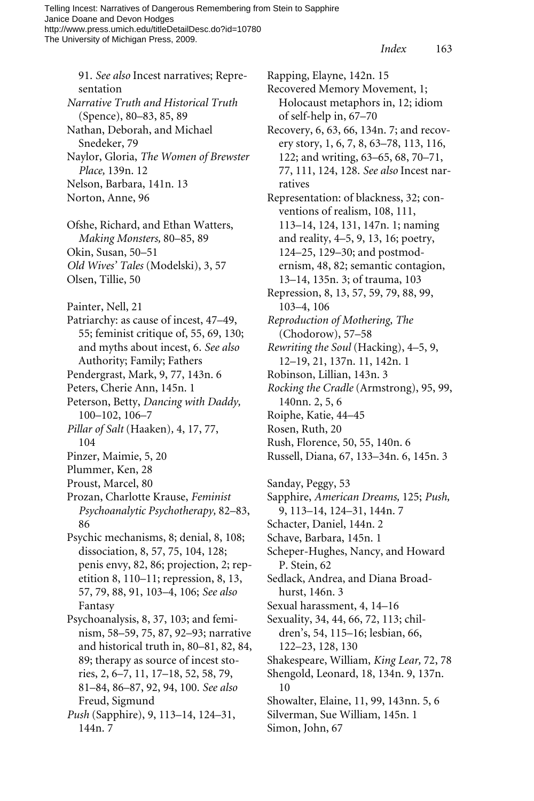91. *See also* Incest narratives; Representation *Narrative Truth and Historical Truth* (Spence), 80–83, 85, 89 Nathan, Deborah, and Michael Snedeker, 79 Naylor, Gloria, *The Women of Brewster Place,* 139n. 12 Nelson, Barbara, 141n. 13 Norton, Anne, 96 Ofshe, Richard, and Ethan Watters, *Making Monsters,* 80–85, 89 Okin, Susan, 50–51 *Old Wives' Tales* (Modelski), 3, 57 Olsen, Tillie, 50 Painter, Nell, 21 Patriarchy: as cause of incest, 47–49, 55; feminist critique of, 55, 69, 130; and myths about incest, 6. *See also* Authority; Family; Fathers Pendergrast, Mark, 9, 77, 143n. 6 Peters, Cherie Ann, 145n. 1 Peterson, Betty, *Dancing with Daddy,* 100–102, 106–7 *Pillar of Salt* (Haaken)*,* 4, 17, 77, 104 Pinzer, Maimie, 5, 20 Plummer, Ken, 28 Proust, Marcel, 80 Prozan, Charlotte Krause, *Feminist Psychoanalytic Psychotherapy,* 82–83, 86 Psychic mechanisms, 8; denial, 8, 108; dissociation, 8, 57, 75, 104, 128; penis envy, 82, 86; projection, 2; repetition 8, 110–11; repression, 8, 13, 57, 79, 88, 91, 103–4, 106; *See also* Fantasy

Psychoanalysis, 8, 37, 103; and feminism, 58–59, 75, 87, 92–93; narrative and historical truth in, 80–81, 82, 84, 89; therapy as source of incest stories, 2, 6–7, 11, 17–18, 52, 58, 79, 81–84, 86–87, 92, 94, 100. *See also* Freud, Sigmund

*Push* (Sapphire), 9, 113–14, 124–31, 144n. 7

Rapping, Elayne, 142n. 15 Recovered Memory Movement, 1; Holocaust metaphors in, 12; idiom of self-help in, 67–70 Recovery, 6, 63, 66, 134n. 7; and recovery story, 1, 6, 7, 8, 63–78, 113, 116, 122; and writing, 63–65, 68, 70–71, 77, 111, 124, 128. *See also* Incest narratives Representation: of blackness, 32; conventions of realism, 108, 111, 113–14, 124, 131, 147n. 1; naming and reality, 4–5, 9, 13, 16; poetry, 124–25, 129–30; and postmodernism, 48, 82; semantic contagion, 13–14, 135n. 3; of trauma, 103 Repression, 8, 13, 57, 59, 79, 88, 99, 103–4, 106 *Reproduction of Mothering, The* (Chodorow), 57–58 *Rewriting the Soul* (Hacking), 4–5, 9, 12–19, 21, 137n. 11, 142n. 1 Robinson, Lillian, 143n. 3 *Rocking the Cradle* (Armstrong), 95, 99, 140nn. 2, 5, 6 Roiphe, Katie, 44–45 Rosen, Ruth, 20 Rush, Florence, 50, 55, 140n. 6 Russell, Diana, 67, 133–34n. 6, 145n. 3

Sanday, Peggy, 53 Sapphire, *American Dreams,* 125; *Push,* 9, 113–14, 124–31, 144n. 7 Schacter, Daniel, 144n. 2 Schave, Barbara, 145n. 1 Scheper-Hughes, Nancy, and Howard P. Stein, 62 Sedlack, Andrea, and Diana Broadhurst, 146n. 3 Sexual harassment, 4, 14–16 Sexuality, 34, 44, 66, 72, 113; children's, 54, 115–16; lesbian, 66, 122–23, 128, 130 Shakespeare, William, *King Lear,* 72, 78 Shengold, Leonard, 18, 134n. 9, 137n. 10 Showalter, Elaine, 11, 99, 143nn. 5, 6 Silverman, Sue William, 145n. 1 Simon, John, 67